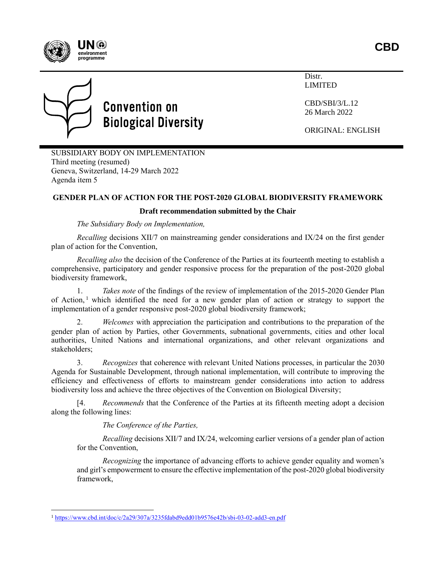

 $\overline{a}$ 

**Convention on Biological Diversity** 

Distr. LIMITED

CBD/SBI/3/L.12 26 March 2022

ORIGINAL: ENGLISH

SUBSIDIARY BODY ON IMPLEMENTATION Third meeting (resumed) Geneva, Switzerland, 14-29 March 2022 Agenda item 5

## **GENDER PLAN OF ACTION FOR THE POST-2020 GLOBAL BIODIVERSITY FRAMEWORK**

### **Draft recommendation submitted by the Chair**

*The Subsidiary Body on Implementation,*

*Recalling* decisions XII/7 on mainstreaming gender considerations and IX/24 on the first gender plan of action for the Convention,

*Recalling also* the decision of the Conference of the Parties at its fourteenth meeting to establish a comprehensive, participatory and gender responsive process for the preparation of the post-2020 global biodiversity framework,

1. *Takes note* of the findings of the review of implementation of the 2015-2020 Gender Plan of Action, 1 which identified the need for a new gender plan of action or strategy to support the implementation of a gender responsive post-2020 global biodiversity framework;

2. *Welcomes* with appreciation the participation and contributions to the preparation of the gender plan of action by Parties, other Governments, subnational governments, cities and other local authorities, United Nations and international organizations, and other relevant organizations and stakeholders;

3. *Recognizes* that coherence with relevant United Nations processes, in particular the 2030 Agenda for Sustainable Development, through national implementation, will contribute to improving the efficiency and effectiveness of efforts to mainstream gender considerations into action to address biodiversity loss and achieve the three objectives of the Convention on Biological Diversity;

[4. *Recommends* that the Conference of the Parties at its fifteenth meeting adopt a decision along the following lines:

*The Conference of the Parties,*

*Recalling* decisions XII/7 and IX/24, welcoming earlier versions of a gender plan of action for the Convention,

*Recognizing* the importance of advancing efforts to achieve gender equality and women's and girl's empowerment to ensure the effective implementation of the post-2020 global biodiversity framework,

<sup>1</sup> <https://www.cbd.int/doc/c/2a29/307a/3235fdabd9edd01b9576e42b/sbi-03-02-add3-en.pdf>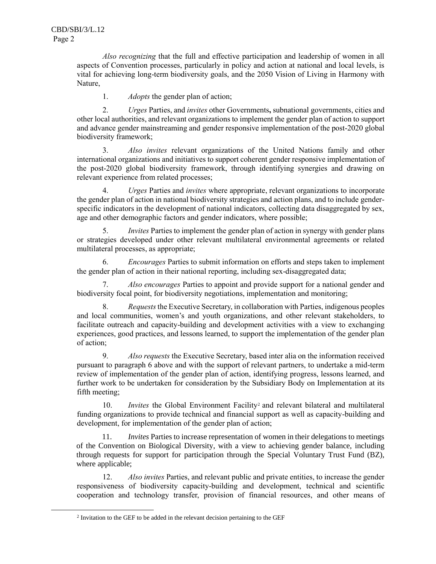$\overline{a}$ 

*Also recognizing* that the full and effective participation and leadership of women in all aspects of Convention processes, particularly in policy and action at national and local levels, is vital for achieving long-term biodiversity goals, and the 2050 Vision of Living in Harmony with Nature,

1. *Adopts* the gender plan of action;

2. *Urges* Parties, and *invites* other Governments**,** subnational governments, cities and other local authorities, and relevant organizations to implement the gender plan of action to support and advance gender mainstreaming and gender responsive implementation of the post-2020 global biodiversity framework;

3. *Also invites* relevant organizations of the United Nations family and other international organizations and initiatives to support coherent gender responsive implementation of the post-2020 global biodiversity framework, through identifying synergies and drawing on relevant experience from related processes;

4. *Urges* Parties and *invites* where appropriate, relevant organizations to incorporate the gender plan of action in national biodiversity strategies and action plans, and to include genderspecific indicators in the development of national indicators, collecting data disaggregated by sex, age and other demographic factors and gender indicators, where possible;

5. *Invites* Parties to implement the gender plan of action in synergy with gender plans or strategies developed under other relevant multilateral environmental agreements or related multilateral processes, as appropriate;

6. *Encourages* Parties to submit information on efforts and steps taken to implement the gender plan of action in their national reporting, including sex-disaggregated data;

7. *Also encourages* Parties to appoint and provide support for a national gender and biodiversity focal point, for biodiversity negotiations, implementation and monitoring;

8. *Requests* the Executive Secretary, in collaboration with Parties, indigenous peoples and local communities, women's and youth organizations, and other relevant stakeholders, to facilitate outreach and capacity-building and development activities with a view to exchanging experiences, good practices, and lessons learned, to support the implementation of the gender plan of action;

9. *Also requests* the Executive Secretary, based inter alia on the information received pursuant to paragraph 6 above and with the support of relevant partners, to undertake a mid-term review of implementation of the gender plan of action, identifying progress, lessons learned, and further work to be undertaken for consideration by the Subsidiary Body on Implementation at its fifth meeting;

10. *Invites* the Global Environment Facility<sup>2</sup> and relevant bilateral and multilateral funding organizations to provide technical and financial support as well as capacity-building and development, for implementation of the gender plan of action;

11. *Invites* Parties to increase representation of women in their delegations to meetings of the Convention on Biological Diversity, with a view to achieving gender balance, including through requests for support for participation through the Special Voluntary Trust Fund (BZ), where applicable;

12. *Also invites* Parties, and relevant public and private entities, to increase the gender responsiveness of biodiversity capacity-building and development, technical and scientific cooperation and technology transfer, provision of financial resources, and other means of

<sup>&</sup>lt;sup>2</sup> Invitation to the GEF to be added in the relevant decision pertaining to the GEF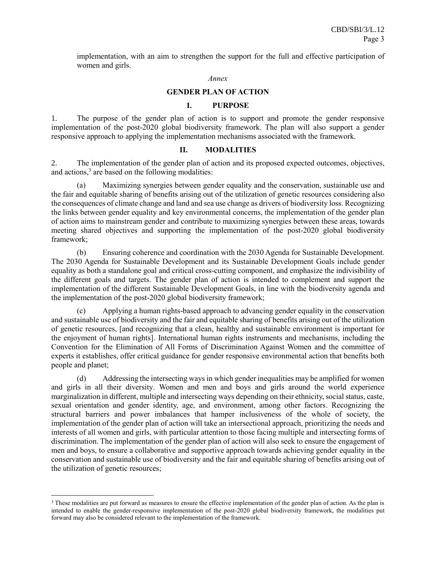implementation, with an aim to strengthen the support for the full and effective participation of women and girls.

#### *Annex*

### **GENDER PLAN OF ACTION**

### **I. PURPOSE**

1. The purpose of the gender plan of action is to support and promote the gender responsive implementation of the post-2020 global biodiversity framework. The plan will also support a gender responsive approach to applying the implementation mechanisms associated with the framework.

### **II. MODALITIES**

2. The implementation of the gender plan of action and its proposed expected outcomes, objectives, and actions, 3 are based on the following modalities:

(a) Maximizing synergies between gender equality and the conservation, sustainable use and the fair and equitable sharing of benefits arising out of the utilization of genetic resources considering also the consequences of climate change and land and sea use change as drivers of biodiversity loss. Recognizing the links between gender equality and key environmental concerns, the implementation of the gender plan of action aims to mainstream gender and contribute to maximizing synergies between these areas, towards meeting shared objectives and supporting the implementation of the post-2020 global biodiversity framework;

(b) Ensuring coherence and coordination with the 2030 Agenda for Sustainable Development. The 2030 Agenda for Sustainable Development and its Sustainable Development Goals include gender equality as both a standalone goal and critical cross-cutting component, and emphasize the indivisibility of the different goals and targets. The gender plan of action is intended to complement and support the implementation of the different Sustainable Development Goals, in line with the biodiversity agenda and the implementation of the post-2020 global biodiversity framework;

(c) Applying a human rights-based approach to advancing gender equality in the conservation and sustainable use of biodiversity and the fair and equitable sharing of benefits arising out of the utilization of genetic resources, [and recognizing that a clean, healthy and sustainable environment is important for the enjoyment of human rights]. International human rights instruments and mechanisms, including the Convention for the Elimination of All Forms of Discrimination Against Women and the committee of experts it establishes, offer critical guidance for gender responsive environmental action that benefits both people and planet;

(d) Addressing the intersecting ways in which gender inequalities may be amplified for women and girls in all their diversity. Women and men and boys and girls around the world experience marginalization in different, multiple and intersecting ways depending on their ethnicity, social status, caste, sexual orientation and gender identity, age, and environment, among other factors. Recognizing the structural barriers and power imbalances that hamper inclusiveness of the whole of society, the implementation of the gender plan of action will take an intersectional approach, prioritizing the needs and interests of all women and girls, with particular attention to those facing multiple and intersecting forms of discrimination. The implementation of the gender plan of action will also seek to ensure the engagement of men and boys, to ensure a collaborative and supportive approach towards achieving gender equality in the conservation and sustainable use of biodiversity and the fair and equitable sharing of benefits arising out of the utilization of genetic resources;

 $\overline{a}$ 

<sup>&</sup>lt;sup>3</sup> These modalities are put forward as measures to ensure the effective implementation of the gender plan of action. As the plan is intended to enable the gender-responsive implementation of the post-2020 global biodiversity framework, the modalities put forward may also be considered relevant to the implementation of the framework.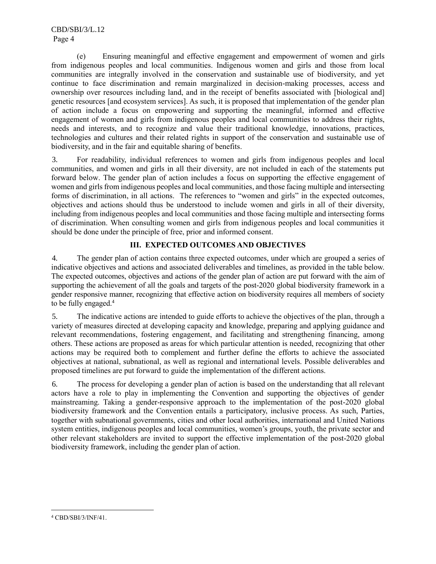(e) Ensuring meaningful and effective engagement and empowerment of women and girls from indigenous peoples and local communities. Indigenous women and girls and those from local communities are integrally involved in the conservation and sustainable use of biodiversity, and yet continue to face discrimination and remain marginalized in decision-making processes, access and ownership over resources including land, and in the receipt of benefits associated with [biological and] genetic resources [and ecosystem services]. As such, it is proposed that implementation of the gender plan of action include a focus on empowering and supporting the meaningful, informed and effective engagement of women and girls from indigenous peoples and local communities to address their rights, needs and interests, and to recognize and value their traditional knowledge, innovations, practices, technologies and cultures and their related rights in support of the conservation and sustainable use of biodiversity, and in the fair and equitable sharing of benefits.

3. For readability, individual references to women and girls from indigenous peoples and local communities, and women and girls in all their diversity, are not included in each of the statements put forward below. The gender plan of action includes a focus on supporting the effective engagement of women and girls from indigenous peoples and local communities, and those facing multiple and intersecting forms of discrimination, in all actions. The references to "women and girls" in the expected outcomes, objectives and actions should thus be understood to include women and girls in all of their diversity, including from indigenous peoples and local communities and those facing multiple and intersecting forms of discrimination. When consulting women and girls from indigenous peoples and local communities it should be done under the principle of free, prior and informed consent.

## **III. EXPECTED OUTCOMES AND OBJECTIVES**

4. The gender plan of action contains three expected outcomes, under which are grouped a series of indicative objectives and actions and associated deliverables and timelines, as provided in the table below. The expected outcomes, objectives and actions of the gender plan of action are put forward with the aim of supporting the achievement of all the goals and targets of the post-2020 global biodiversity framework in a gender responsive manner, recognizing that effective action on biodiversity requires all members of society to be fully engaged.<sup>4</sup>

5. The indicative actions are intended to guide efforts to achieve the objectives of the plan, through a variety of measures directed at developing capacity and knowledge, preparing and applying guidance and relevant recommendations, fostering engagement, and facilitating and strengthening financing, among others. These actions are proposed as areas for which particular attention is needed, recognizing that other actions may be required both to complement and further define the efforts to achieve the associated objectives at national, subnational, as well as regional and international levels. Possible deliverables and proposed timelines are put forward to guide the implementation of the different actions.

6. The process for developing a gender plan of action is based on the understanding that all relevant actors have a role to play in implementing the Convention and supporting the objectives of gender mainstreaming. Taking a gender-responsive approach to the implementation of the post-2020 global biodiversity framework and the Convention entails a participatory, inclusive process. As such, Parties, together with subnational governments, cities and other local authorities, international and United Nations system entities, indigenous peoples and local communities, women's groups, youth, the private sector and other relevant stakeholders are invited to support the effective implementation of the post-2020 global biodiversity framework, including the gender plan of action.

 $\overline{a}$ 

<sup>4</sup> CBD/SBI/3/INF/41.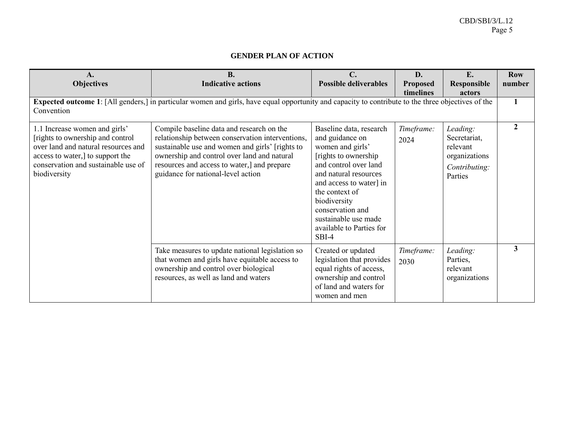# **GENDER PLAN OF ACTION**

| A.<br><b>Objectives</b>                                                                                                                                                                              | <b>B.</b><br><b>Indicative actions</b>                                                                                                                                                                                                                                               | $\mathbf{C}$ .<br><b>Possible deliverables</b>                                                                                                                                                                                                                                          | D.<br><b>Proposed</b> | E.<br><b>Responsible</b>                                                          | <b>Row</b><br>number |
|------------------------------------------------------------------------------------------------------------------------------------------------------------------------------------------------------|--------------------------------------------------------------------------------------------------------------------------------------------------------------------------------------------------------------------------------------------------------------------------------------|-----------------------------------------------------------------------------------------------------------------------------------------------------------------------------------------------------------------------------------------------------------------------------------------|-----------------------|-----------------------------------------------------------------------------------|----------------------|
| timelines<br>actors<br>Expected outcome 1: [All genders,] in particular women and girls, have equal opportunity and capacity to contribute to the three objectives of the<br>Convention              |                                                                                                                                                                                                                                                                                      |                                                                                                                                                                                                                                                                                         |                       |                                                                                   |                      |
| 1.1 Increase women and girls'<br>[rights to ownership and control]<br>over land and natural resources and<br>access to water,] to support the<br>conservation and sustainable use of<br>biodiversity | Compile baseline data and research on the<br>relationship between conservation interventions,<br>sustainable use and women and girls' [rights to<br>ownership and control over land and natural<br>resources and access to water,] and prepare<br>guidance for national-level action | Baseline data, research<br>and guidance on<br>women and girls'<br>[rights to ownership]<br>and control over land<br>and natural resources<br>and access to water] in<br>the context of<br>biodiversity<br>conservation and<br>sustainable use made<br>available to Parties for<br>SBI-4 | Timeframe:<br>2024    | Leading:<br>Secretariat,<br>relevant<br>organizations<br>Contributing:<br>Parties | $\mathfrak{D}$       |
|                                                                                                                                                                                                      | Take measures to update national legislation so<br>that women and girls have equitable access to<br>ownership and control over biological<br>resources, as well as land and waters                                                                                                   | Created or updated<br>legislation that provides<br>equal rights of access,<br>ownership and control<br>of land and waters for<br>women and men                                                                                                                                          | Timeframe:<br>2030    | Leading:<br>Parties,<br>relevant<br>organizations                                 | $\overline{3}$       |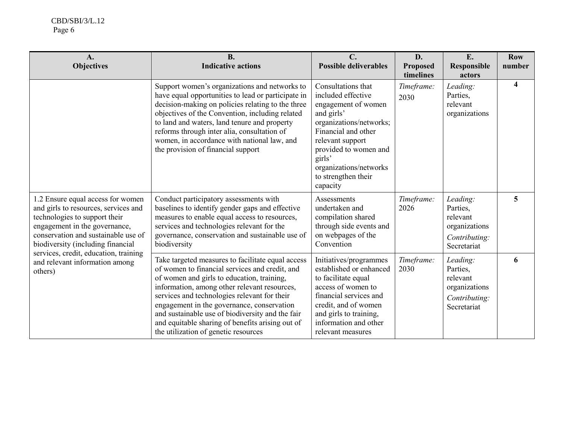| A.<br><b>Objectives</b>                                                                                                                                                                                                                                                                                       | <b>B.</b><br><b>Indicative actions</b>                                                                                                                                                                                                                                                                                                                                                                                                          | $\mathbf{C}$ .<br><b>Possible deliverables</b>                                                                                                                                                                                                      | D.<br><b>Proposed</b><br>timelines | E.<br><b>Responsible</b><br>actors                                                | <b>Row</b><br>number |
|---------------------------------------------------------------------------------------------------------------------------------------------------------------------------------------------------------------------------------------------------------------------------------------------------------------|-------------------------------------------------------------------------------------------------------------------------------------------------------------------------------------------------------------------------------------------------------------------------------------------------------------------------------------------------------------------------------------------------------------------------------------------------|-----------------------------------------------------------------------------------------------------------------------------------------------------------------------------------------------------------------------------------------------------|------------------------------------|-----------------------------------------------------------------------------------|----------------------|
|                                                                                                                                                                                                                                                                                                               | Support women's organizations and networks to<br>have equal opportunities to lead or participate in<br>decision-making on policies relating to the three<br>objectives of the Convention, including related<br>to land and waters, land tenure and property<br>reforms through inter alia, consultation of<br>women, in accordance with national law, and<br>the provision of financial support                                                 | Consultations that<br>included effective<br>engagement of women<br>and girls'<br>organizations/networks;<br>Financial and other<br>relevant support<br>provided to women and<br>girls'<br>organizations/networks<br>to strengthen their<br>capacity | Timeframe:<br>2030                 | Leading:<br>Parties,<br>relevant<br>organizations                                 | 4                    |
| 1.2 Ensure equal access for women<br>and girls to resources, services and<br>technologies to support their<br>engagement in the governance,<br>conservation and sustainable use of<br>biodiversity (including financial<br>services, credit, education, training<br>and relevant information among<br>others) | Conduct participatory assessments with<br>baselines to identify gender gaps and effective<br>measures to enable equal access to resources,<br>services and technologies relevant for the<br>governance, conservation and sustainable use of<br>biodiversity                                                                                                                                                                                     | Assessments<br>undertaken and<br>compilation shared<br>through side events and<br>on webpages of the<br>Convention                                                                                                                                  | Timeframe:<br>2026                 | Leading:<br>Parties,<br>relevant<br>organizations<br>Contributing:<br>Secretariat | 5                    |
|                                                                                                                                                                                                                                                                                                               | Take targeted measures to facilitate equal access<br>of women to financial services and credit, and<br>of women and girls to education, training,<br>information, among other relevant resources,<br>services and technologies relevant for their<br>engagement in the governance, conservation<br>and sustainable use of biodiversity and the fair<br>and equitable sharing of benefits arising out of<br>the utilization of genetic resources | Initiatives/programmes<br>established or enhanced<br>to facilitate equal<br>access of women to<br>financial services and<br>credit, and of women<br>and girls to training,<br>information and other<br>relevant measures                            | Timeframe:<br>2030                 | Leading:<br>Parties,<br>relevant<br>organizations<br>Contributing:<br>Secretariat | 6                    |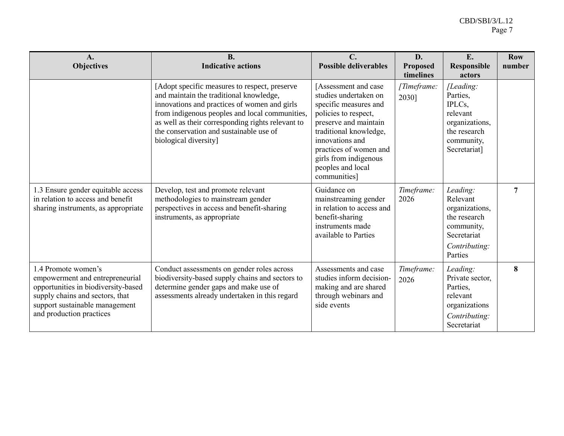| $A_{\bullet}$<br><b>Objectives</b>                                                                                                                                                             | <b>B.</b><br><b>Indicative actions</b>                                                                                                                                                                                                                                                                              | $\mathbf{C}$ .<br><b>Possible deliverables</b>                                                                                                                                                                                                               | D.<br><b>Proposed</b><br>timelines | E.<br><b>Responsible</b><br>actors                                                                              | <b>Row</b><br>number |
|------------------------------------------------------------------------------------------------------------------------------------------------------------------------------------------------|---------------------------------------------------------------------------------------------------------------------------------------------------------------------------------------------------------------------------------------------------------------------------------------------------------------------|--------------------------------------------------------------------------------------------------------------------------------------------------------------------------------------------------------------------------------------------------------------|------------------------------------|-----------------------------------------------------------------------------------------------------------------|----------------------|
|                                                                                                                                                                                                | [Adopt specific measures to respect, preserve<br>and maintain the traditional knowledge,<br>innovations and practices of women and girls<br>from indigenous peoples and local communities,<br>as well as their corresponding rights relevant to<br>the conservation and sustainable use of<br>biological diversity] | [Assessment and case<br>studies undertaken on<br>specific measures and<br>policies to respect,<br>preserve and maintain<br>traditional knowledge,<br>innovations and<br>practices of women and<br>girls from indigenous<br>peoples and local<br>communities] | [Timeframe:<br>2030]               | [Leading:<br>Parties,<br>IPLCs,<br>relevant<br>organizations,<br>the research<br>community,<br>Secretariat]     |                      |
| 1.3 Ensure gender equitable access<br>in relation to access and benefit<br>sharing instruments, as appropriate                                                                                 | Develop, test and promote relevant<br>methodologies to mainstream gender<br>perspectives in access and benefit-sharing<br>instruments, as appropriate                                                                                                                                                               | Guidance on<br>mainstreaming gender<br>in relation to access and<br>benefit-sharing<br>instruments made<br>available to Parties                                                                                                                              | Timeframe:<br>2026                 | Leading:<br>Relevant<br>organizations,<br>the research<br>community,<br>Secretariat<br>Contributing:<br>Parties | 7                    |
| 1.4 Promote women's<br>empowerment and entrepreneurial<br>opportunities in biodiversity-based<br>supply chains and sectors, that<br>support sustainable management<br>and production practices | Conduct assessments on gender roles across<br>biodiversity-based supply chains and sectors to<br>determine gender gaps and make use of<br>assessments already undertaken in this regard                                                                                                                             | Assessments and case<br>studies inform decision-<br>making and are shared<br>through webinars and<br>side events                                                                                                                                             | Timeframe:<br>2026                 | Leading:<br>Private sector,<br>Parties,<br>relevant<br>organizations<br>Contributing:<br>Secretariat            | 8                    |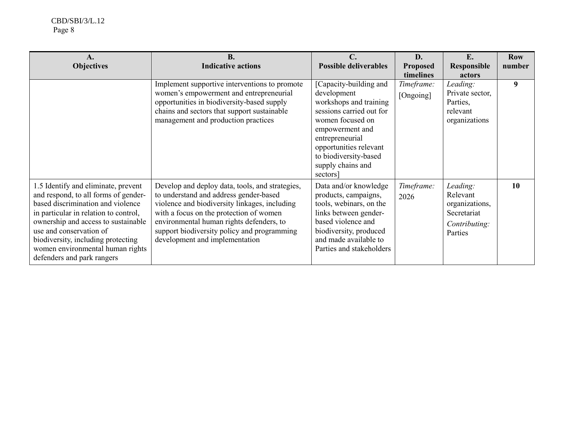| A.<br><b>Objectives</b>                                                                                                                                                                                                                                                                                                             | <b>B.</b><br><b>Indicative actions</b>                                                                                                                                                                                                                                                                             | $\mathbf{C}$ .<br><b>Possible deliverables</b>                                                                                                                                                                                            | D.<br><b>Proposed</b>                | E.<br><b>Responsible</b>                                                          | <b>Row</b><br>number |
|-------------------------------------------------------------------------------------------------------------------------------------------------------------------------------------------------------------------------------------------------------------------------------------------------------------------------------------|--------------------------------------------------------------------------------------------------------------------------------------------------------------------------------------------------------------------------------------------------------------------------------------------------------------------|-------------------------------------------------------------------------------------------------------------------------------------------------------------------------------------------------------------------------------------------|--------------------------------------|-----------------------------------------------------------------------------------|----------------------|
|                                                                                                                                                                                                                                                                                                                                     | Implement supportive interventions to promote<br>women's empowerment and entrepreneurial<br>opportunities in biodiversity-based supply<br>chains and sectors that support sustainable<br>management and production practices                                                                                       | [Capacity-building and<br>development<br>workshops and training<br>sessions carried out for<br>women focused on<br>empowerment and<br>entrepreneurial<br>opportunities relevant<br>to biodiversity-based<br>supply chains and<br>sectors] | timelines<br>Timeframe:<br>[Ongoing] | actors<br>Leading:<br>Private sector,<br>Parties,<br>relevant<br>organizations    | 9                    |
| 1.5 Identify and eliminate, prevent<br>and respond, to all forms of gender-<br>based discrimination and violence<br>in particular in relation to control,<br>ownership and access to sustainable<br>use and conservation of<br>biodiversity, including protecting<br>women environmental human rights<br>defenders and park rangers | Develop and deploy data, tools, and strategies,<br>to understand and address gender-based<br>violence and biodiversity linkages, including<br>with a focus on the protection of women<br>environmental human rights defenders, to<br>support biodiversity policy and programming<br>development and implementation | Data and/or knowledge<br>products, campaigns,<br>tools, webinars, on the<br>links between gender-<br>based violence and<br>biodiversity, produced<br>and made available to<br>Parties and stakeholders                                    | Timeframe:<br>2026                   | Leading:<br>Relevant<br>organizations,<br>Secretariat<br>Contributing:<br>Parties | <b>10</b>            |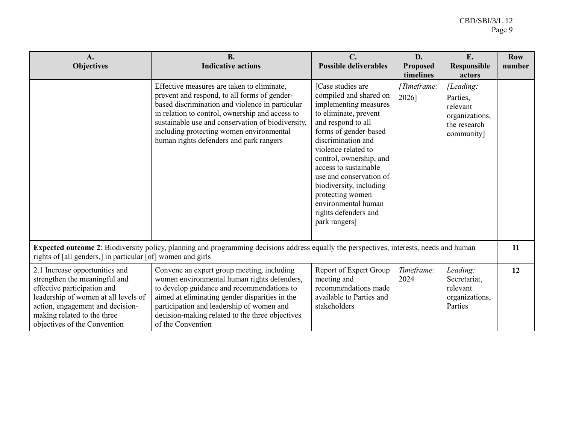| $\mathbf{A}$ .<br><b>Objectives</b>                                                                                                                                                                                                       | <b>B.</b><br><b>Indicative actions</b>                                                                                                                                                                                                                                                                                                       | $\mathbf{C}$ .<br><b>Possible deliverables</b>                                                                                                                                                                                                                                                                                                                                          | D.<br><b>Proposed</b><br>timelines | E.<br><b>Responsible</b><br>actors                                                | <b>Row</b><br>number |
|-------------------------------------------------------------------------------------------------------------------------------------------------------------------------------------------------------------------------------------------|----------------------------------------------------------------------------------------------------------------------------------------------------------------------------------------------------------------------------------------------------------------------------------------------------------------------------------------------|-----------------------------------------------------------------------------------------------------------------------------------------------------------------------------------------------------------------------------------------------------------------------------------------------------------------------------------------------------------------------------------------|------------------------------------|-----------------------------------------------------------------------------------|----------------------|
|                                                                                                                                                                                                                                           | Effective measures are taken to eliminate,<br>prevent and respond, to all forms of gender-<br>based discrimination and violence in particular<br>in relation to control, ownership and access to<br>sustainable use and conservation of biodiversity,<br>including protecting women environmental<br>human rights defenders and park rangers | [Case studies are<br>compiled and shared on<br>implementing measures<br>to eliminate, prevent<br>and respond to all<br>forms of gender-based<br>discrimination and<br>violence related to<br>control, ownership, and<br>access to sustainable<br>use and conservation of<br>biodiversity, including<br>protecting women<br>environmental human<br>rights defenders and<br>park rangers] | [Timeframe:<br>2026]               | [Leading:<br>Parties,<br>relevant<br>organizations,<br>the research<br>community] |                      |
| <b>Expected outcome 2</b> : Biodiversity policy, planning and programming decisions address equally the perspectives, interests, needs and human<br>rights of [all genders,] in particular [of] women and girls                           |                                                                                                                                                                                                                                                                                                                                              |                                                                                                                                                                                                                                                                                                                                                                                         |                                    |                                                                                   |                      |
| 2.1 Increase opportunities and<br>strengthen the meaningful and<br>effective participation and<br>leadership of women at all levels of<br>action, engagement and decision-<br>making related to the three<br>objectives of the Convention | Convene an expert group meeting, including<br>women environmental human rights defenders,<br>to develop guidance and recommendations to<br>aimed at eliminating gender disparities in the<br>participation and leadership of women and<br>decision-making related to the three objectives<br>of the Convention                               | Report of Expert Group<br>meeting and<br>recommendations made<br>available to Parties and<br>stakeholders                                                                                                                                                                                                                                                                               | Timeframe:<br>2024                 | Leading:<br>Secretariat,<br>relevant<br>organizations,<br>Parties                 | 12                   |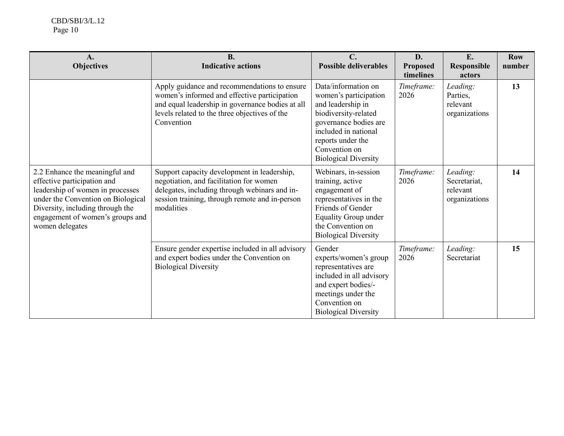| $\mathbf{A}$ .<br><b>Objectives</b>                                                                                                                                                                                                | <b>B.</b><br><b>Indicative actions</b>                                                                                                                                                                          | $\mathbf{C}$ .<br><b>Possible deliverables</b>                                                                                                                                                                  | D.<br><b>Proposed</b><br>timelines | E.<br><b>Responsible</b><br>actors                    | <b>Row</b><br>number |
|------------------------------------------------------------------------------------------------------------------------------------------------------------------------------------------------------------------------------------|-----------------------------------------------------------------------------------------------------------------------------------------------------------------------------------------------------------------|-----------------------------------------------------------------------------------------------------------------------------------------------------------------------------------------------------------------|------------------------------------|-------------------------------------------------------|----------------------|
|                                                                                                                                                                                                                                    | Apply guidance and recommendations to ensure<br>women's informed and effective participation<br>and equal leadership in governance bodies at all<br>levels related to the three objectives of the<br>Convention | Data/information on<br>women's participation<br>and leadership in<br>biodiversity-related<br>governance bodies are<br>included in national<br>reports under the<br>Convention on<br><b>Biological Diversity</b> | Timeframe:<br>2026                 | Leading:<br>Parties,<br>relevant<br>organizations     | 13                   |
| 2.2 Enhance the meaningful and<br>effective participation and<br>leadership of women in processes<br>under the Convention on Biological<br>Diversity, including through the<br>engagement of women's groups and<br>women delegates | Support capacity development in leadership,<br>negotiation, and facilitation for women<br>delegates, including through webinars and in-<br>session training, through remote and in-person<br>modalities         | Webinars, in-session<br>training, active<br>engagement of<br>representatives in the<br><b>Friends of Gender</b><br><b>Equality Group under</b><br>the Convention on<br><b>Biological Diversity</b>              | Timeframe:<br>2026                 | Leading:<br>Secretariat,<br>relevant<br>organizations | 14                   |
|                                                                                                                                                                                                                                    | Ensure gender expertise included in all advisory<br>and expert bodies under the Convention on<br><b>Biological Diversity</b>                                                                                    | Gender<br>experts/women's group<br>representatives are<br>included in all advisory<br>and expert bodies/-<br>meetings under the<br>Convention on<br><b>Biological Diversity</b>                                 | Timeframe:<br>2026                 | Leading:<br>Secretariat                               | 15                   |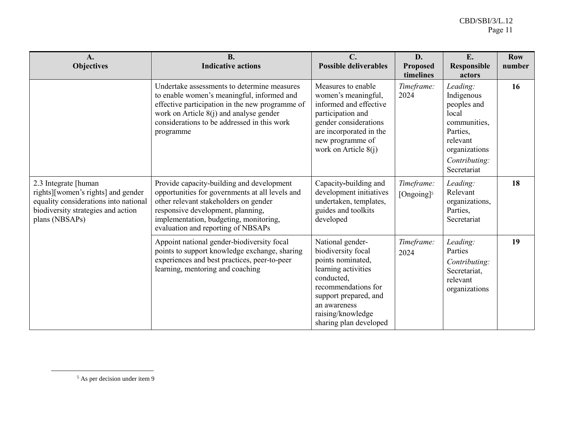| A.<br><b>Objectives</b>                                                                                                                                      | <b>B.</b><br><b>Indicative actions</b>                                                                                                                                                                                                                     | $C_{\cdot}$<br><b>Possible deliverables</b>                                                                                                                                                                     | D.<br><b>Proposed</b><br>timelines   | E.<br><b>Responsible</b><br>actors                                                                                                      | <b>Row</b><br>number |
|--------------------------------------------------------------------------------------------------------------------------------------------------------------|------------------------------------------------------------------------------------------------------------------------------------------------------------------------------------------------------------------------------------------------------------|-----------------------------------------------------------------------------------------------------------------------------------------------------------------------------------------------------------------|--------------------------------------|-----------------------------------------------------------------------------------------------------------------------------------------|----------------------|
|                                                                                                                                                              | Undertake assessments to determine measures<br>to enable women's meaningful, informed and<br>effective participation in the new programme of<br>work on Article $8(j)$ and analyse gender<br>considerations to be addressed in this work<br>programme      | Measures to enable<br>women's meaningful,<br>informed and effective<br>participation and<br>gender considerations<br>are incorporated in the<br>new programme of<br>work on Article $8(i)$                      | Timeframe:<br>2024                   | Leading:<br>Indigenous<br>peoples and<br>local<br>communities,<br>Parties,<br>relevant<br>organizations<br>Contributing:<br>Secretariat | 16                   |
| 2.3 Integrate [human]<br>rights][women's rights] and gender<br>equality considerations into national<br>biodiversity strategies and action<br>plans (NBSAPs) | Provide capacity-building and development<br>opportunities for governments at all levels and<br>other relevant stakeholders on gender<br>responsive development, planning,<br>implementation, budgeting, monitoring,<br>evaluation and reporting of NBSAPs | Capacity-building and<br>development initiatives<br>undertaken, templates,<br>guides and toolkits<br>developed                                                                                                  | Timeframe:<br>[Ongoing] <sup>5</sup> | Leading:<br>Relevant<br>organizations,<br>Parties,<br>Secretariat                                                                       | 18                   |
|                                                                                                                                                              | Appoint national gender-biodiversity focal<br>points to support knowledge exchange, sharing<br>experiences and best practices, peer-to-peer<br>learning, mentoring and coaching                                                                            | National gender-<br>biodiversity focal<br>points nominated,<br>learning activities<br>conducted,<br>recommendations for<br>support prepared, and<br>an awareness<br>raising/knowledge<br>sharing plan developed | Timeframe:<br>2024                   | Leading:<br>Parties<br>Contributing:<br>Secretariat,<br>relevant<br>organizations                                                       | 19                   |

 $\overline{a}$ 

<sup>5</sup> As per decision under item 9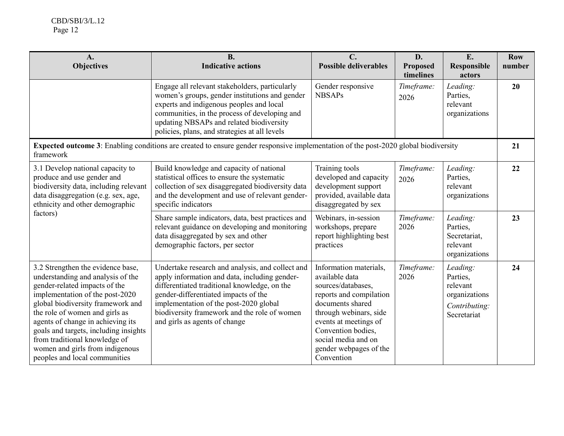| A.<br><b>Objectives</b>                                                                                                                                                                                                                                                                                                                                                                              | <b>B.</b><br><b>Indicative actions</b>                                                                                                                                                                                                                                                                               | $\mathbf{C}$ .<br><b>Possible deliverables</b>                                                                                                                                                                                                        | D.<br><b>Proposed</b><br>timelines | E.<br><b>Responsible</b><br>actors                                                | <b>Row</b><br>number |
|------------------------------------------------------------------------------------------------------------------------------------------------------------------------------------------------------------------------------------------------------------------------------------------------------------------------------------------------------------------------------------------------------|----------------------------------------------------------------------------------------------------------------------------------------------------------------------------------------------------------------------------------------------------------------------------------------------------------------------|-------------------------------------------------------------------------------------------------------------------------------------------------------------------------------------------------------------------------------------------------------|------------------------------------|-----------------------------------------------------------------------------------|----------------------|
|                                                                                                                                                                                                                                                                                                                                                                                                      | Engage all relevant stakeholders, particularly<br>women's groups, gender institutions and gender<br>experts and indigenous peoples and local<br>communities, in the process of developing and<br>updating NBSAPs and related biodiversity<br>policies, plans, and strategies at all levels                           | Gender responsive<br><b>NBSAPs</b>                                                                                                                                                                                                                    | Timeframe:<br>2026                 | Leading:<br>Parties,<br>relevant<br>organizations                                 | 20                   |
| framework                                                                                                                                                                                                                                                                                                                                                                                            | <b>Expected outcome 3</b> : Enabling conditions are created to ensure gender responsive implementation of the post-2020 global biodiversity                                                                                                                                                                          |                                                                                                                                                                                                                                                       |                                    |                                                                                   | 21                   |
| 3.1 Develop national capacity to<br>produce and use gender and<br>biodiversity data, including relevant<br>data disaggregation (e.g. sex, age,<br>ethnicity and other demographic<br>factors)                                                                                                                                                                                                        | Build knowledge and capacity of national<br>statistical offices to ensure the systematic<br>collection of sex disaggregated biodiversity data<br>and the development and use of relevant gender-<br>specific indicators                                                                                              | Training tools<br>developed and capacity<br>development support<br>provided, available data<br>disaggregated by sex                                                                                                                                   | Timeframe:<br>2026                 | Leading:<br>Parties,<br>relevant<br>organizations                                 | 22                   |
|                                                                                                                                                                                                                                                                                                                                                                                                      | Share sample indicators, data, best practices and<br>relevant guidance on developing and monitoring<br>data disaggregated by sex and other<br>demographic factors, per sector                                                                                                                                        | Webinars, in-session<br>workshops, prepare<br>report highlighting best<br>practices                                                                                                                                                                   | Timeframe:<br>2026                 | Leading:<br>Parties,<br>Secretariat,<br>relevant<br>organizations                 | 23                   |
| 3.2 Strengthen the evidence base,<br>understanding and analysis of the<br>gender-related impacts of the<br>implementation of the post-2020<br>global biodiversity framework and<br>the role of women and girls as<br>agents of change in achieving its<br>goals and targets, including insights<br>from traditional knowledge of<br>women and girls from indigenous<br>peoples and local communities | Undertake research and analysis, and collect and<br>apply information and data, including gender-<br>differentiated traditional knowledge, on the<br>gender-differentiated impacts of the<br>implementation of the post-2020 global<br>biodiversity framework and the role of women<br>and girls as agents of change | Information materials,<br>available data<br>sources/databases,<br>reports and compilation<br>documents shared<br>through webinars, side<br>events at meetings of<br>Convention bodies,<br>social media and on<br>gender webpages of the<br>Convention | Timeframe:<br>2026                 | Leading:<br>Parties,<br>relevant<br>organizations<br>Contributing:<br>Secretariat | 24                   |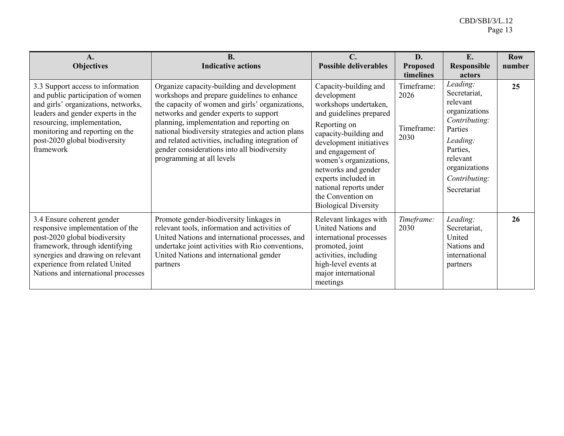| $\mathbf{A}$ .<br><b>Objectives</b>                                                                                                                                                                                                                                | <b>B.</b><br><b>Indicative actions</b>                                                                                                                                                                                                                                                                                                                                                                                   | $\mathbf{C}$ .<br><b>Possible deliverables</b>                                                                                                                                                                                                                                                                                          | D.<br><b>Proposed</b><br>timelines       | E.<br><b>Responsible</b><br>actors                                                                                                                                     | <b>Row</b><br>number |
|--------------------------------------------------------------------------------------------------------------------------------------------------------------------------------------------------------------------------------------------------------------------|--------------------------------------------------------------------------------------------------------------------------------------------------------------------------------------------------------------------------------------------------------------------------------------------------------------------------------------------------------------------------------------------------------------------------|-----------------------------------------------------------------------------------------------------------------------------------------------------------------------------------------------------------------------------------------------------------------------------------------------------------------------------------------|------------------------------------------|------------------------------------------------------------------------------------------------------------------------------------------------------------------------|----------------------|
| 3.3 Support access to information<br>and public participation of women<br>and girls' organizations, networks,<br>leaders and gender experts in the<br>resourcing, implementation,<br>monitoring and reporting on the<br>post-2020 global biodiversity<br>framework | Organize capacity-building and development<br>workshops and prepare guidelines to enhance<br>the capacity of women and girls' organizations,<br>networks and gender experts to support<br>planning, implementation and reporting on<br>national biodiversity strategies and action plans<br>and related activities, including integration of<br>gender considerations into all biodiversity<br>programming at all levels | Capacity-building and<br>development<br>workshops undertaken,<br>and guidelines prepared<br>Reporting on<br>capacity-building and<br>development initiatives<br>and engagement of<br>women's organizations,<br>networks and gender<br>experts included in<br>national reports under<br>the Convention on<br><b>Biological Diversity</b> | Timeframe:<br>2026<br>Timeframe:<br>2030 | Leading:<br>Secretariat,<br>relevant<br>organizations<br>Contributing:<br>Parties<br>Leading:<br>Parties,<br>relevant<br>organizations<br>Contributing:<br>Secretariat | 25                   |
| 3.4 Ensure coherent gender<br>responsive implementation of the<br>post-2020 global biodiversity<br>framework, through identifying<br>synergies and drawing on relevant<br>experience from related United<br>Nations and international processes                    | Promote gender-biodiversity linkages in<br>relevant tools, information and activities of<br>United Nations and international processes, and<br>undertake joint activities with Rio conventions,<br>United Nations and international gender<br>partners                                                                                                                                                                   | Relevant linkages with<br>United Nations and<br>international processes<br>promoted, joint<br>activities, including<br>high-level events at<br>major international<br>meetings                                                                                                                                                          | Timeframe:<br>2030                       | Leading:<br>Secretariat,<br>United<br>Nations and<br>international<br>partners                                                                                         | 26                   |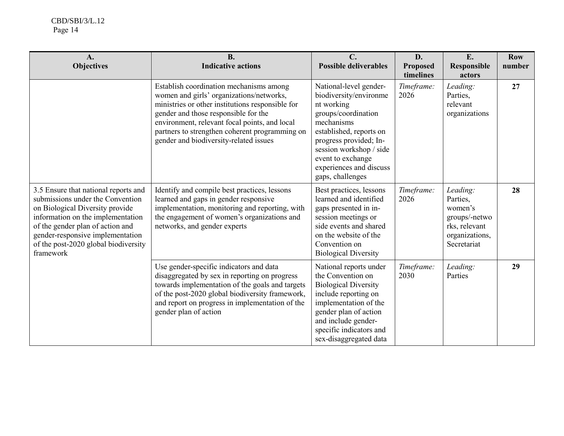| A.<br><b>Objectives</b>                                                                                                                                                                                                                                                       | <b>B.</b><br><b>Indicative actions</b>                                                                                                                                                                                                                                                                                       | $\mathbf{C}$ .<br><b>Possible deliverables</b>                                                                                                                                                                                                          | D.<br><b>Proposed</b><br>timelines | E.<br><b>Responsible</b><br>actors                                                                 | <b>Row</b><br>number |
|-------------------------------------------------------------------------------------------------------------------------------------------------------------------------------------------------------------------------------------------------------------------------------|------------------------------------------------------------------------------------------------------------------------------------------------------------------------------------------------------------------------------------------------------------------------------------------------------------------------------|---------------------------------------------------------------------------------------------------------------------------------------------------------------------------------------------------------------------------------------------------------|------------------------------------|----------------------------------------------------------------------------------------------------|----------------------|
|                                                                                                                                                                                                                                                                               | Establish coordination mechanisms among<br>women and girls' organizations/networks,<br>ministries or other institutions responsible for<br>gender and those responsible for the<br>environment, relevant focal points, and local<br>partners to strengthen coherent programming on<br>gender and biodiversity-related issues | National-level gender-<br>biodiversity/environme<br>nt working<br>groups/coordination<br>mechanisms<br>established, reports on<br>progress provided; In-<br>session workshop / side<br>event to exchange<br>experiences and discuss<br>gaps, challenges | Timeframe:<br>2026                 | Leading:<br>Parties,<br>relevant<br>organizations                                                  | 27                   |
| 3.5 Ensure that national reports and<br>submissions under the Convention<br>on Biological Diversity provide<br>information on the implementation<br>of the gender plan of action and<br>gender-responsive implementation<br>of the post-2020 global biodiversity<br>framework | Identify and compile best practices, lessons<br>learned and gaps in gender responsive<br>implementation, monitoring and reporting, with<br>the engagement of women's organizations and<br>networks, and gender experts                                                                                                       | Best practices, lessons<br>learned and identified<br>gaps presented in in-<br>session meetings or<br>side events and shared<br>on the website of the<br>Convention on<br><b>Biological Diversity</b>                                                    | Timeframe:<br>2026                 | Leading:<br>Parties,<br>women's<br>groups/-netwo<br>rks, relevant<br>organizations,<br>Secretariat | 28                   |
|                                                                                                                                                                                                                                                                               | Use gender-specific indicators and data<br>disaggregated by sex in reporting on progress<br>towards implementation of the goals and targets<br>of the post-2020 global biodiversity framework,<br>and report on progress in implementation of the<br>gender plan of action                                                   | National reports under<br>the Convention on<br><b>Biological Diversity</b><br>include reporting on<br>implementation of the<br>gender plan of action<br>and include gender-<br>specific indicators and<br>sex-disaggregated data                        | Timeframe:<br>2030                 | Leading:<br>Parties                                                                                | 29                   |